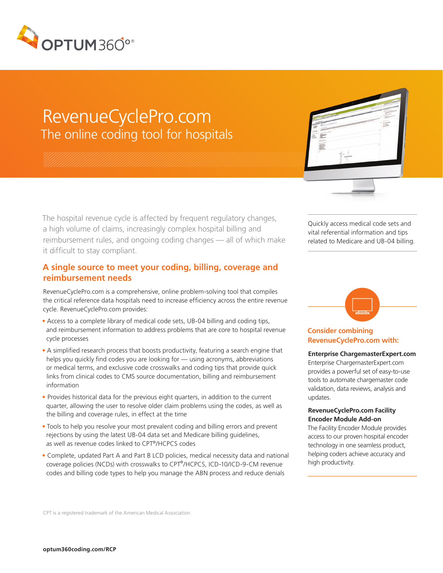

# RevenueCyclePro.com The online coding tool for hospitals

The hospital revenue cycle is affected by frequent regulatory changes, a high volume of claims, increasingly complex hospital billing and reimbursement rules, and ongoing coding changes — all of which make it difficult to stay compliant.

## **A single source to meet your coding, billing, coverage and reimbursement needs**

RevenueCyclePro.com is a comprehensive, online problem-solving tool that compiles the critical reference data hospitals need to increase efficiency across the entire revenue cycle. RevenueCyclePro.com provides:

- Access to a complete library of medical code sets, UB-04 billing and coding tips, and reimbursement information to address problems that are core to hospital revenue cycle processes
- A simplified research process that boosts productivity, featuring a search engine that helps you quickly find codes you are looking for — using acronyms, abbreviations or medical terms, and exclusive code crosswalks and coding tips that provide quick links from clinical codes to CMS source documentation, billing and reimbursement information
- Provides historical data for the previous eight quarters, in addition to the current quarter, allowing the user to resolve older claim problems using the codes, as well as the billing and coverage rules, in effect at the time
- Tools to help you resolve your most prevalent coding and billing errors and prevent rejections by using the latest UB-04 data set and Medicare billing guidelines, as well as revenue codes linked to CPT®/HCPCS codes
- Complete, updated Part A and Part B LCD policies, medical necessity data and national coverage policies (NCDs) with crosswalks to CPT®/HCPCS, ICD-10/ICD-9-CM revenue codes and billing code types to help you manage the ABN process and reduce denials

Quickly access medical code sets and vital referential information and tips related to Medicare and UB-04 billing.

# **Consider combining RevenueCyclePro.com with:**

# **Enterprise ChargemasterExpert.com**

Enterprise ChargemasterExpert.com provides a powerful set of easy-to-use tools to automate chargemaster code validation, data reviews, analysis and updates.

#### **RevenueCyclePro.com Facility Encoder Module Add-on**

The Facility Encoder Module provides access to our proven hospital encoder technology in one seamless product, helping coders achieve accuracy and high productivity.

CPT is a registered trademark of the American Medical Association.